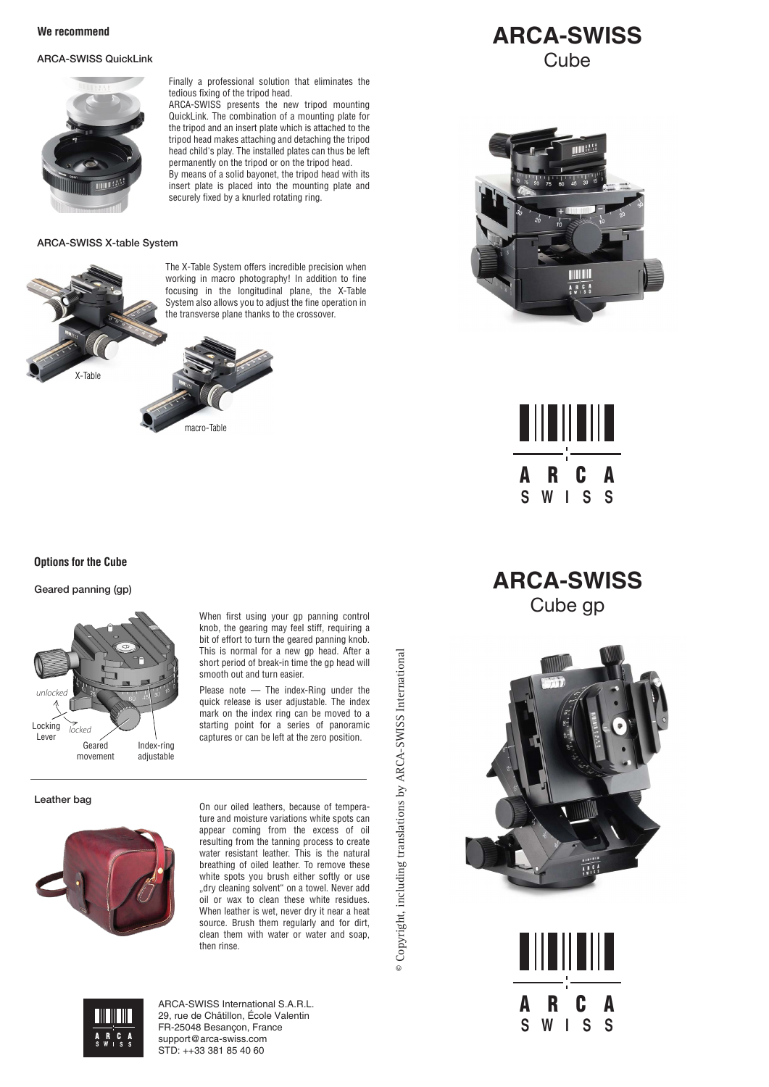## ARCA-SWISS QuickLink



Finally a professional solution that eliminates the tedious fixing of the tripod head.

ARCA-SWISS presents the new tripod mounting QuickLink. The combination of a mounting plate for the tripod and an insert plate which is attached to the tripod head makes attaching and detaching the tripod head child's play. The installed plates can thus be left permanently on the tripod or on the tripod head. By means of a solid bayonet, the tripod head with its insert plate is placed into the mounting plate and securely fixed by a knurled rotating ring.

### ARCA-SWISS X-table System



The X-Table System offers incredible precision when working in macro photography! In addition to fine focusing in the longitudinal plane, the X-Table System also allows you to adjust the fine operation in the transverse plane thanks to the crossover.



# **Options for the Cube**

#### Geared panning (gp)



When first using your ap panning control knob, the gearing may feel stiff, requiring a bit of effort to turn the geared panning knob. This is normal for a new gp head. After a short period of break-in time the gp head will smooth out and turn easier.

 Please note — The index-Ring under the quick release is user adjustable. The index mark on the index ring can be moved to a starting point for a series of panoramic captures or can be left at the zero position.

#### Leather bag



On our oiled leathers, because of temperature and moisture variations white spots can appear coming from the excess of oil resulting from the tanning process to create water resistant leather. This is the natural breathing of oiled leather. To remove these white spots you brush either softly or use "dry cleaning solvent" on a towel. Never add  $\ddot{\text{o}}$ il or wax to clean these white residues. When leather is wet, never dry it near a heat source. Brush them regularly and for dirt, clean them with water or water and soap, then rinse.

© Copyright, including translations by ARCA-SWISS International A-SWISS International © Copyright, including translations by ARC



ARCA-SWISS International S.A.R.L. 29, rue de Châtillon, École Valentin FR-25048 Besançon, France support@arca-swiss.com STD: ++33 381 85 40 60







**ARCA-SWISS** Cube gp